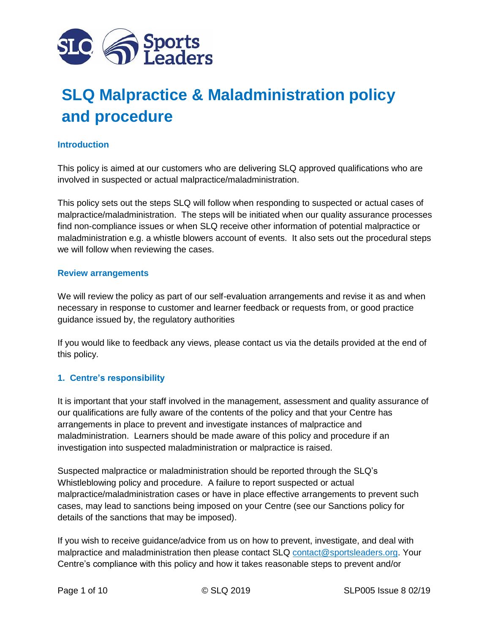

# **SLQ Malpractice & Maladministration policy and procedure**

### **Introduction**

This policy is aimed at our customers who are delivering SLQ approved qualifications who are involved in suspected or actual malpractice/maladministration.

This policy sets out the steps SLQ will follow when responding to suspected or actual cases of malpractice/maladministration. The steps will be initiated when our quality assurance processes find non-compliance issues or when SLQ receive other information of potential malpractice or maladministration e.g. a whistle blowers account of events. It also sets out the procedural steps we will follow when reviewing the cases.

#### **Review arrangements**

We will review the policy as part of our self-evaluation arrangements and revise it as and when necessary in response to customer and learner feedback or requests from, or good practice guidance issued by, the regulatory authorities

If you would like to feedback any views, please contact us via the details provided at the end of this policy.

#### **1. Centre's responsibility**

It is important that your staff involved in the management, assessment and quality assurance of our qualifications are fully aware of the contents of the policy and that your Centre has arrangements in place to prevent and investigate instances of malpractice and maladministration. Learners should be made aware of this policy and procedure if an investigation into suspected maladministration or malpractice is raised.

Suspected malpractice or maladministration should be reported through the SLQ's Whistleblowing policy and procedure. A failure to report suspected or actual malpractice/maladministration cases or have in place effective arrangements to prevent such cases, may lead to sanctions being imposed on your Centre (see our Sanctions policy for details of the sanctions that may be imposed).

If you wish to receive guidance/advice from us on how to prevent, investigate, and deal with malpractice and maladministration then please contact SLQ [contact@sportsleaders.org.](mailto:contact@sportsleaders.org) Your Centre's compliance with this policy and how it takes reasonable steps to prevent and/or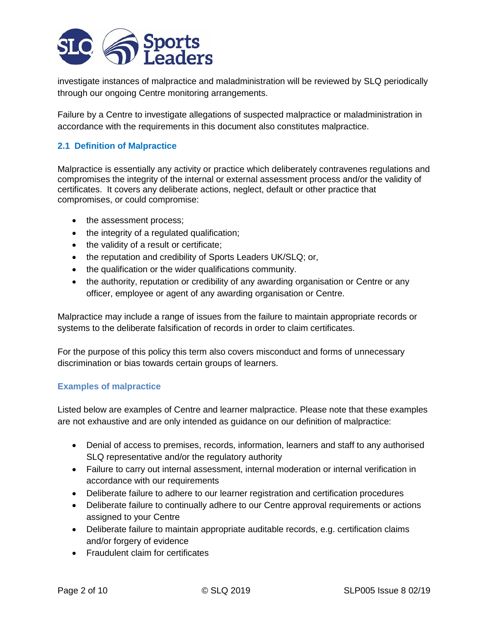

investigate instances of malpractice and maladministration will be reviewed by SLQ periodically through our ongoing Centre monitoring arrangements.

Failure by a Centre to investigate allegations of suspected malpractice or maladministration in accordance with the requirements in this document also constitutes malpractice.

## **2.1 Definition of Malpractice**

Malpractice is essentially any activity or practice which deliberately contravenes regulations and compromises the integrity of the internal or external assessment process and/or the validity of certificates. It covers any deliberate actions, neglect, default or other practice that compromises, or could compromise:

- the assessment process;
- the integrity of a regulated qualification;
- the validity of a result or certificate;
- the reputation and credibility of Sports Leaders UK/SLQ; or,
- the qualification or the wider qualifications community.
- the authority, reputation or credibility of any awarding organisation or Centre or any officer, employee or agent of any awarding organisation or Centre.

Malpractice may include a range of issues from the failure to maintain appropriate records or systems to the deliberate falsification of records in order to claim certificates.

For the purpose of this policy this term also covers misconduct and forms of unnecessary discrimination or bias towards certain groups of learners.

#### **Examples of malpractice**

Listed below are examples of Centre and learner malpractice. Please note that these examples are not exhaustive and are only intended as guidance on our definition of malpractice:

- Denial of access to premises, records, information, learners and staff to any authorised SLQ representative and/or the regulatory authority
- Failure to carry out internal assessment, internal moderation or internal verification in accordance with our requirements
- Deliberate failure to adhere to our learner registration and certification procedures
- Deliberate failure to continually adhere to our Centre approval requirements or actions assigned to your Centre
- Deliberate failure to maintain appropriate auditable records, e.g. certification claims and/or forgery of evidence
- Fraudulent claim for certificates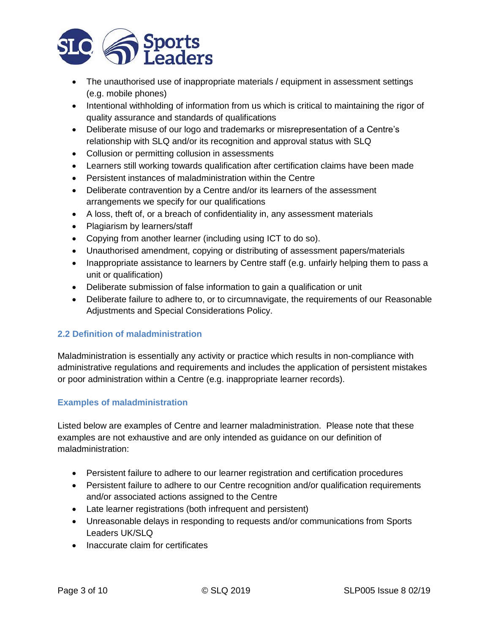

- The unauthorised use of inappropriate materials / equipment in assessment settings (e.g. mobile phones)
- Intentional withholding of information from us which is critical to maintaining the rigor of quality assurance and standards of qualifications
- Deliberate misuse of our logo and trademarks or misrepresentation of a Centre's relationship with SLQ and/or its recognition and approval status with SLQ
- Collusion or permitting collusion in assessments
- Learners still working towards qualification after certification claims have been made
- Persistent instances of maladministration within the Centre
- Deliberate contravention by a Centre and/or its learners of the assessment arrangements we specify for our qualifications
- A loss, theft of, or a breach of confidentiality in, any assessment materials
- Plagiarism by learners/staff
- Copying from another learner (including using ICT to do so).
- Unauthorised amendment, copying or distributing of assessment papers/materials
- Inappropriate assistance to learners by Centre staff (e.g. unfairly helping them to pass a unit or qualification)
- Deliberate submission of false information to gain a qualification or unit
- Deliberate failure to adhere to, or to circumnavigate, the requirements of our Reasonable Adjustments and Special Considerations Policy.

#### **2.2 Definition of maladministration**

Maladministration is essentially any activity or practice which results in non-compliance with administrative regulations and requirements and includes the application of persistent mistakes or poor administration within a Centre (e.g. inappropriate learner records).

#### **Examples of maladministration**

Listed below are examples of Centre and learner maladministration. Please note that these examples are not exhaustive and are only intended as guidance on our definition of maladministration:

- Persistent failure to adhere to our learner registration and certification procedures
- Persistent failure to adhere to our Centre recognition and/or qualification requirements and/or associated actions assigned to the Centre
- Late learner registrations (both infrequent and persistent)
- Unreasonable delays in responding to requests and/or communications from Sports Leaders UK/SLQ
- Inaccurate claim for certificates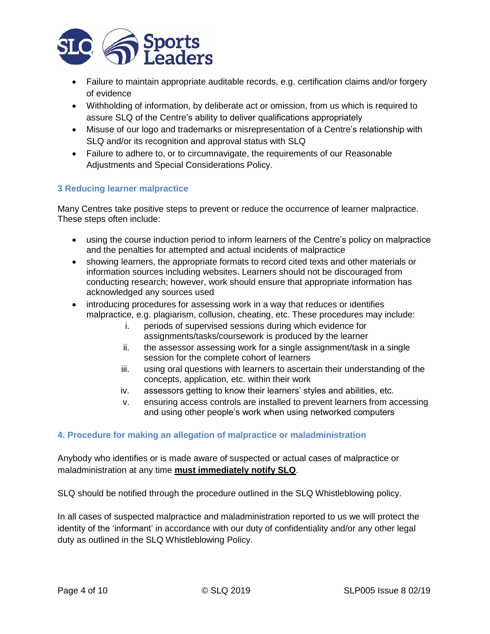

- Failure to maintain appropriate auditable records, e.g. certification claims and/or forgery of evidence
- Withholding of information, by deliberate act or omission, from us which is required to assure SLQ of the Centre's ability to deliver qualifications appropriately
- Misuse of our logo and trademarks or misrepresentation of a Centre's relationship with SLQ and/or its recognition and approval status with SLQ
- Failure to adhere to, or to circumnavigate, the requirements of our Reasonable Adjustments and Special Considerations Policy.

#### **3 Reducing learner malpractice**

Many Centres take positive steps to prevent or reduce the occurrence of learner malpractice. These steps often include:

- using the course induction period to inform learners of the Centre's policy on malpractice and the penalties for attempted and actual incidents of malpractice
- showing learners, the appropriate formats to record cited texts and other materials or information sources including websites. Learners should not be discouraged from conducting research; however, work should ensure that appropriate information has acknowledged any sources used
- introducing procedures for assessing work in a way that reduces or identifies malpractice, e.g. plagiarism, collusion, cheating, etc. These procedures may include:
	- i. periods of supervised sessions during which evidence for assignments/tasks/coursework is produced by the learner
	- ii. the assessor assessing work for a single assignment/task in a single session for the complete cohort of learners
	- iii. using oral questions with learners to ascertain their understanding of the concepts, application, etc. within their work
	- iv. assessors getting to know their learners' styles and abilities, etc.
	- v. ensuring access controls are installed to prevent learners from accessing and using other people's work when using networked computers

#### **4. Procedure for making an allegation of malpractice or maladministration**

Anybody who identifies or is made aware of suspected or actual cases of malpractice or maladministration at any time **must immediately notify SLQ**.

SLQ should be notified through the procedure outlined in the SLQ Whistleblowing policy.

In all cases of suspected malpractice and maladministration reported to us we will protect the identity of the 'informant' in accordance with our duty of confidentiality and/or any other legal duty as outlined in the SLQ Whistleblowing Policy.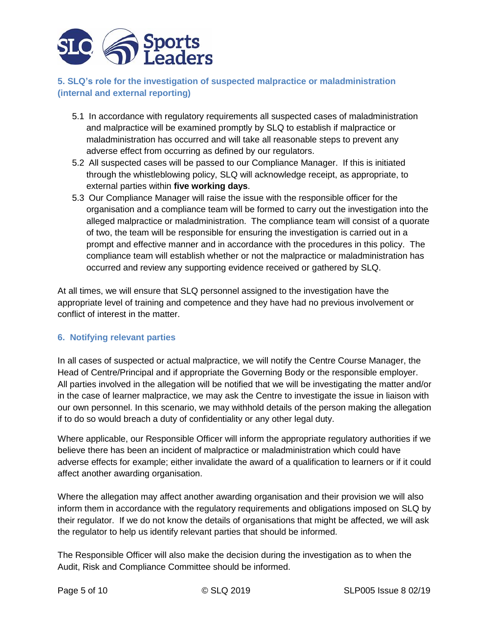

# **5. SLQ's role for the investigation of suspected malpractice or maladministration (internal and external reporting)**

- 5.1 In accordance with regulatory requirements all suspected cases of maladministration and malpractice will be examined promptly by SLQ to establish if malpractice or maladministration has occurred and will take all reasonable steps to prevent any adverse effect from occurring as defined by our regulators.
- 5.2 All suspected cases will be passed to our Compliance Manager. If this is initiated through the whistleblowing policy, SLQ will acknowledge receipt, as appropriate, to external parties within **five working days**.
- 5.3 Our Compliance Manager will raise the issue with the responsible officer for the organisation and a compliance team will be formed to carry out the investigation into the alleged malpractice or maladministration. The compliance team will consist of a quorate of two, the team will be responsible for ensuring the investigation is carried out in a prompt and effective manner and in accordance with the procedures in this policy. The compliance team will establish whether or not the malpractice or maladministration has occurred and review any supporting evidence received or gathered by SLQ.

At all times, we will ensure that SLQ personnel assigned to the investigation have the appropriate level of training and competence and they have had no previous involvement or conflict of interest in the matter.

# **6. Notifying relevant parties**

In all cases of suspected or actual malpractice, we will notify the Centre Course Manager, the Head of Centre/Principal and if appropriate the Governing Body or the responsible employer. All parties involved in the allegation will be notified that we will be investigating the matter and/or in the case of learner malpractice, we may ask the Centre to investigate the issue in liaison with our own personnel. In this scenario, we may withhold details of the person making the allegation if to do so would breach a duty of confidentiality or any other legal duty.

Where applicable, our Responsible Officer will inform the appropriate regulatory authorities if we believe there has been an incident of malpractice or maladministration which could have adverse effects for example; either invalidate the award of a qualification to learners or if it could affect another awarding organisation.

Where the allegation may affect another awarding organisation and their provision we will also inform them in accordance with the regulatory requirements and obligations imposed on SLQ by their regulator. If we do not know the details of organisations that might be affected, we will ask the regulator to help us identify relevant parties that should be informed.

The Responsible Officer will also make the decision during the investigation as to when the Audit, Risk and Compliance Committee should be informed.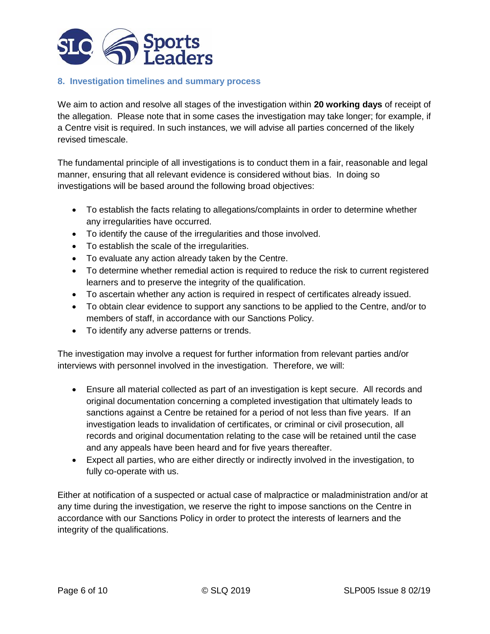

#### **8. Investigation timelines and summary process**

We aim to action and resolve all stages of the investigation within **20 working days** of receipt of the allegation. Please note that in some cases the investigation may take longer; for example, if a Centre visit is required. In such instances, we will advise all parties concerned of the likely revised timescale.

The fundamental principle of all investigations is to conduct them in a fair, reasonable and legal manner, ensuring that all relevant evidence is considered without bias. In doing so investigations will be based around the following broad objectives:

- To establish the facts relating to allegations/complaints in order to determine whether any irregularities have occurred.
- To identify the cause of the irregularities and those involved.
- To establish the scale of the irregularities.
- To evaluate any action already taken by the Centre.
- To determine whether remedial action is required to reduce the risk to current registered learners and to preserve the integrity of the qualification.
- To ascertain whether any action is required in respect of certificates already issued.
- To obtain clear evidence to support any sanctions to be applied to the Centre, and/or to members of staff, in accordance with our Sanctions Policy.
- To identify any adverse patterns or trends.

The investigation may involve a request for further information from relevant parties and/or interviews with personnel involved in the investigation. Therefore, we will:

- Ensure all material collected as part of an investigation is kept secure. All records and original documentation concerning a completed investigation that ultimately leads to sanctions against a Centre be retained for a period of not less than five years. If an investigation leads to invalidation of certificates, or criminal or civil prosecution, all records and original documentation relating to the case will be retained until the case and any appeals have been heard and for five years thereafter.
- Expect all parties, who are either directly or indirectly involved in the investigation, to fully co-operate with us.

Either at notification of a suspected or actual case of malpractice or maladministration and/or at any time during the investigation, we reserve the right to impose sanctions on the Centre in accordance with our Sanctions Policy in order to protect the interests of learners and the integrity of the qualifications.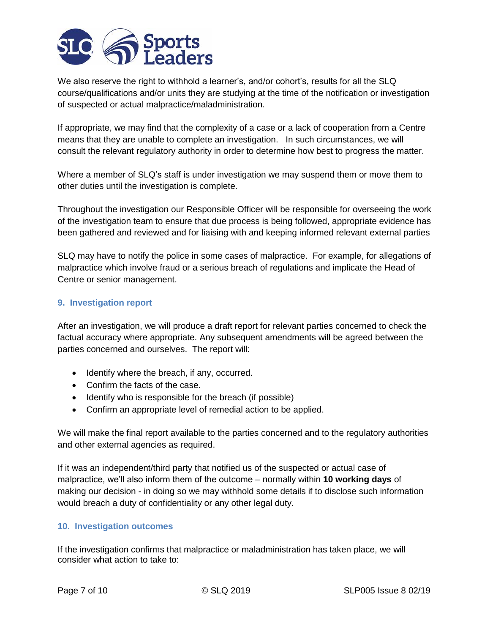

We also reserve the right to withhold a learner's, and/or cohort's, results for all the SLQ course/qualifications and/or units they are studying at the time of the notification or investigation of suspected or actual malpractice/maladministration.

If appropriate, we may find that the complexity of a case or a lack of cooperation from a Centre means that they are unable to complete an investigation. In such circumstances, we will consult the relevant regulatory authority in order to determine how best to progress the matter.

Where a member of SLQ's staff is under investigation we may suspend them or move them to other duties until the investigation is complete.

Throughout the investigation our Responsible Officer will be responsible for overseeing the work of the investigation team to ensure that due process is being followed, appropriate evidence has been gathered and reviewed and for liaising with and keeping informed relevant external parties

SLQ may have to notify the police in some cases of malpractice. For example, for allegations of malpractice which involve fraud or a serious breach of regulations and implicate the Head of Centre or senior management.

#### **9. Investigation report**

After an investigation, we will produce a draft report for relevant parties concerned to check the factual accuracy where appropriate. Any subsequent amendments will be agreed between the parties concerned and ourselves. The report will:

- Identify where the breach, if any, occurred.
- Confirm the facts of the case.
- Identify who is responsible for the breach (if possible)
- Confirm an appropriate level of remedial action to be applied.

We will make the final report available to the parties concerned and to the regulatory authorities and other external agencies as required.

If it was an independent/third party that notified us of the suspected or actual case of malpractice, we'll also inform them of the outcome – normally within **10 working days** of making our decision - in doing so we may withhold some details if to disclose such information would breach a duty of confidentiality or any other legal duty.

#### **10. Investigation outcomes**

If the investigation confirms that malpractice or maladministration has taken place, we will consider what action to take to: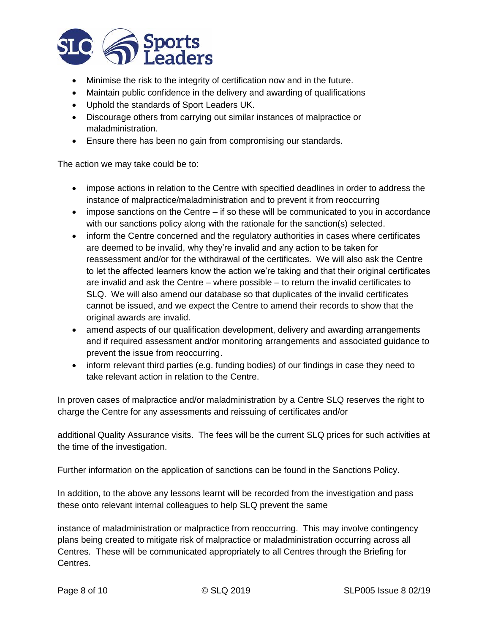

- Minimise the risk to the integrity of certification now and in the future.
- Maintain public confidence in the delivery and awarding of qualifications
- Uphold the standards of Sport Leaders UK.
- Discourage others from carrying out similar instances of malpractice or maladministration.
- Ensure there has been no gain from compromising our standards.

The action we may take could be to:

- impose actions in relation to the Centre with specified deadlines in order to address the instance of malpractice/maladministration and to prevent it from reoccurring
- $\bullet$  impose sanctions on the Centre if so these will be communicated to you in accordance with our sanctions policy along with the rationale for the sanction(s) selected.
- inform the Centre concerned and the regulatory authorities in cases where certificates are deemed to be invalid, why they're invalid and any action to be taken for reassessment and/or for the withdrawal of the certificates. We will also ask the Centre to let the affected learners know the action we're taking and that their original certificates are invalid and ask the Centre – where possible – to return the invalid certificates to SLQ. We will also amend our database so that duplicates of the invalid certificates cannot be issued, and we expect the Centre to amend their records to show that the original awards are invalid.
- amend aspects of our qualification development, delivery and awarding arrangements and if required assessment and/or monitoring arrangements and associated guidance to prevent the issue from reoccurring.
- inform relevant third parties (e.g. funding bodies) of our findings in case they need to take relevant action in relation to the Centre.

In proven cases of malpractice and/or maladministration by a Centre SLQ reserves the right to charge the Centre for any assessments and reissuing of certificates and/or

additional Quality Assurance visits. The fees will be the current SLQ prices for such activities at the time of the investigation.

Further information on the application of sanctions can be found in the Sanctions Policy.

In addition, to the above any lessons learnt will be recorded from the investigation and pass these onto relevant internal colleagues to help SLQ prevent the same

instance of maladministration or malpractice from reoccurring. This may involve contingency plans being created to mitigate risk of malpractice or maladministration occurring across all Centres. These will be communicated appropriately to all Centres through the Briefing for Centres.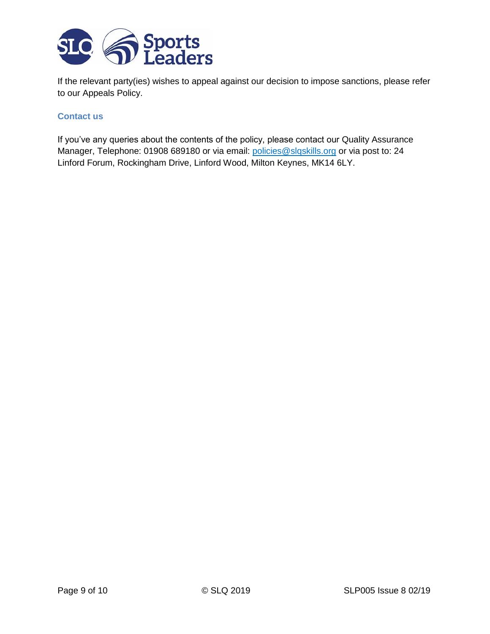

If the relevant party(ies) wishes to appeal against our decision to impose sanctions, please refer to our Appeals Policy.

#### **Contact us**

If you've any queries about the contents of the policy, please contact our Quality Assurance Manager, Telephone: 01908 689180 or via email: [policies@slqskills.org](mailto:policies@slqskills.org) or via post to: 24 Linford Forum, Rockingham Drive, Linford Wood, Milton Keynes, MK14 6LY.